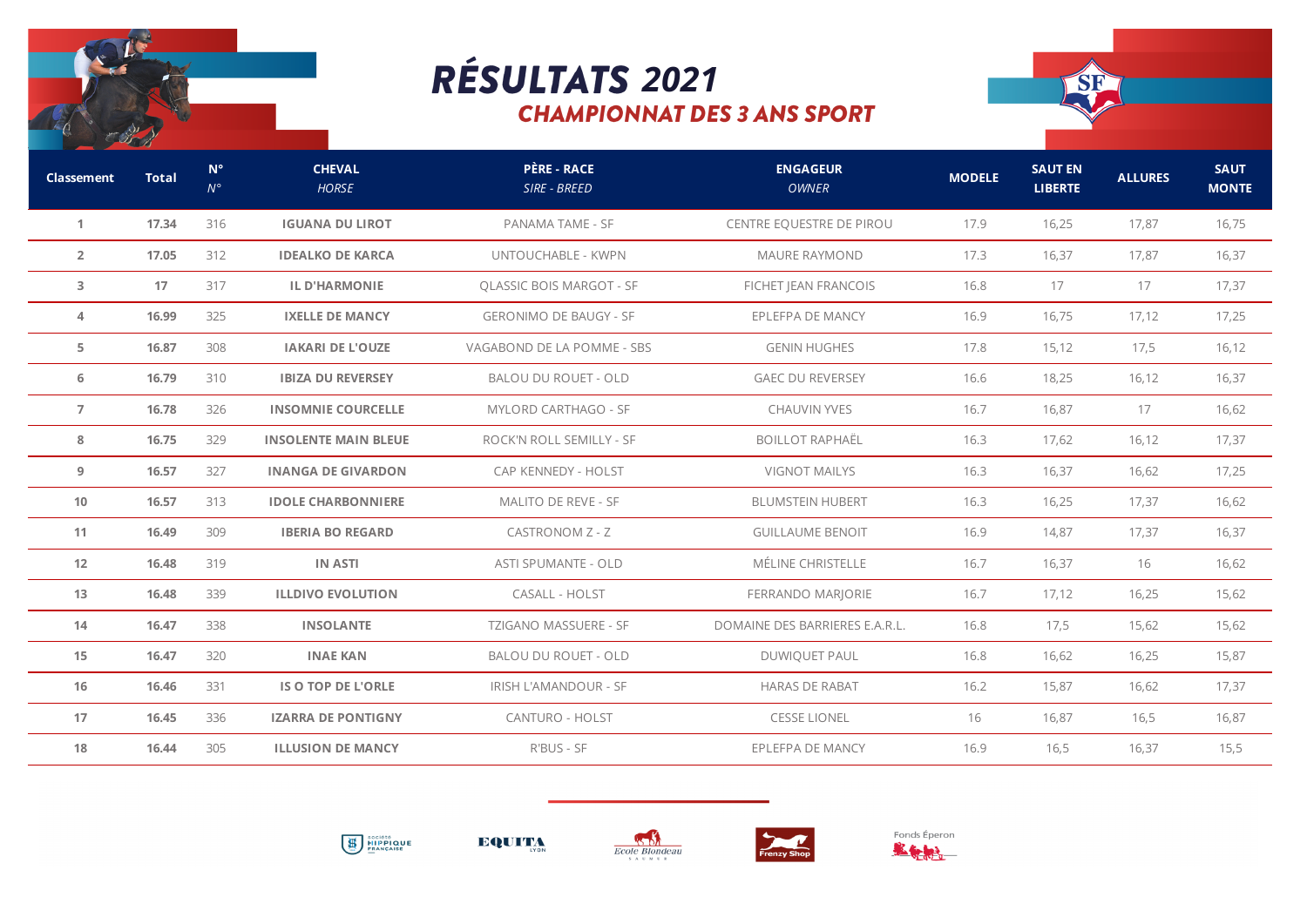

## *2021***CHAMPIONNAT DES 3 ANS SPORT**



| Classement     | <b>Total</b> | $N^{\circ}$<br>$N^{\circ}$ | <b>CHEVAL</b><br><b>HORSE</b> | <b>PÈRE - RACE</b><br>SIRE - BREED | <b>ENGAGEUR</b><br><b>OWNER</b> | <b>MODELE</b> | <b>SAUT EN</b><br><b>LIBERTE</b> | <b>ALLURES</b> | <b>SAUT</b><br><b>MONTE</b> |
|----------------|--------------|----------------------------|-------------------------------|------------------------------------|---------------------------------|---------------|----------------------------------|----------------|-----------------------------|
| 1              | 17.34        | 316                        | <b>IGUANA DU LIROT</b>        | PANAMA TAME - SF                   | CENTRE EQUESTRE DE PIROU        | 17.9          | 16,25                            | 17,87          | 16,75                       |
| $\overline{2}$ | 17.05        | 312                        | <b>IDEALKO DE KARCA</b>       | UNTOUCHABLE - KWPN                 | <b>MAURE RAYMOND</b>            | 17.3          | 16,37                            | 17,87          | 16,37                       |
| 3              | 17           | 317                        | <b>IL D'HARMONIE</b>          | <b>QLASSIC BOIS MARGOT - SF</b>    | FICHET JEAN FRANCOIS            | 16.8          | 17                               | 17             | 17,37                       |
| 4              | 16.99        | 325                        | <b>IXELLE DE MANCY</b>        | <b>GERONIMO DE BAUGY - SF</b>      | EPLEFPA DE MANCY                | 16.9          | 16,75                            | 17,12          | 17,25                       |
| 5              | 16.87        | 308                        | <b>IAKARI DE L'OUZE</b>       | VAGABOND DE LA POMME - SBS         | <b>GENIN HUGHES</b>             | 17.8          | 15,12                            | 17,5           | 16,12                       |
| 6              | 16.79        | 310                        | <b>IBIZA DU REVERSEY</b>      | BALOU DU ROUET - OLD               | <b>GAEC DU REVERSEY</b>         | 16.6          | 18,25                            | 16,12          | 16,37                       |
| $\overline{7}$ | 16.78        | 326                        | <b>INSOMNIE COURCELLE</b>     | <b>MYLORD CARTHAGO - SF</b>        | <b>CHAUVIN YVES</b>             | 16.7          | 16,87                            | 17             | 16,62                       |
| 8              | 16.75        | 329                        | <b>INSOLENTE MAIN BLEUE</b>   | ROCK'N ROLL SEMILLY - SF           | <b>BOILLOT RAPHAËL</b>          | 16.3          | 17,62                            | 16, 12         | 17,37                       |
| 9              | 16.57        | 327                        | <b>INANGA DE GIVARDON</b>     | CAP KENNEDY - HOLST                | <b>VIGNOT MAILYS</b>            | 16.3          | 16,37                            | 16,62          | 17,25                       |
| 10             | 16.57        | 313                        | <b>IDOLE CHARBONNIERE</b>     | MALITO DE REVE - SF                | <b>BLUMSTEIN HUBERT</b>         | 16.3          | 16,25                            | 17,37          | 16,62                       |
| 11             | 16.49        | 309                        | <b>IBERIA BO REGARD</b>       | <b>CASTRONOM Z - Z</b>             | <b>GUILLAUME BENOIT</b>         | 16.9          | 14,87                            | 17,37          | 16,37                       |
| 12             | 16.48        | 319                        | <b>IN ASTI</b>                | ASTI SPUMANTE - OLD                | MÉLINE CHRISTELLE               | 16.7          | 16,37                            | 16             | 16,62                       |
| 13             | 16.48        | 339                        | <b>ILLDIVO EVOLUTION</b>      | CASALL - HOLST                     | FERRANDO MARJORIE               | 16.7          | 17,12                            | 16,25          | 15,62                       |
| 14             | 16.47        | 338                        | <b>INSOLANTE</b>              | TZIGANO MASSUERE - SF              | DOMAINE DES BARRIERES E.A.R.L.  | 16.8          | 17,5                             | 15,62          | 15,62                       |
| 15             | 16.47        | 320                        | <b>INAE KAN</b>               | <b>BALOU DU ROUET - OLD</b>        | <b>DUWIQUET PAUL</b>            | 16.8          | 16,62                            | 16,25          | 15,87                       |
| 16             | 16.46        | 331                        | IS O TOP DE L'ORLE            | IRISH L'AMANDOUR - SF              | <b>HARAS DE RABAT</b>           | 16.2          | 15,87                            | 16,62          | 17,37                       |
| 17             | 16.45        | 336                        | <b>IZARRA DE PONTIGNY</b>     | <b>CANTURO - HOLST</b>             | <b>CESSE LIONEL</b>             | 16            | 16,87                            | 16,5           | 16,87                       |
| 18             | 16.44        | 305                        | <b>ILLUSION DE MANCY</b>      | R'BUS - SF                         | EPLEFPA DE MANCY                | 16.9          | 16,5                             | 16,37          | 15,5                        |
|                |              |                            |                               |                                    |                                 |               |                                  |                |                             |